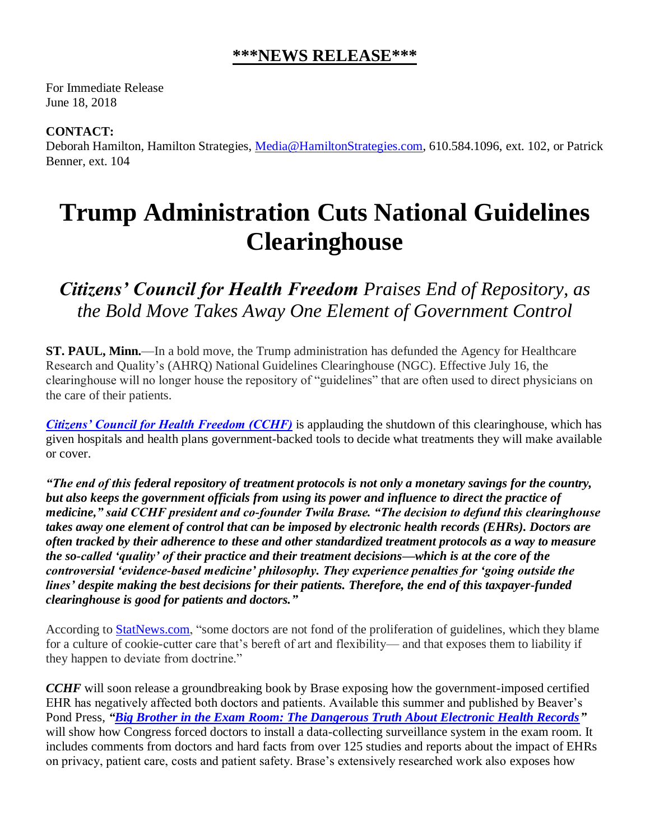## **\*\*\*NEWS RELEASE\*\*\***

For Immediate Release June 18, 2018

**CONTACT:**

Deborah Hamilton, Hamilton Strategies, [Media@HamiltonStrategies.com,](mailto:Media@HamiltonStrategies.com) 610.584.1096, ext. 102, or Patrick Benner, ext. 104

## **Trump Administration Cuts National Guidelines Clearinghouse**

*Citizens' Council for Health Freedom Praises End of Repository, as the Bold Move Takes Away One Element of Government Control*

**ST. PAUL, Minn.**—In a bold move, the Trump administration has defunded the Agency for Healthcare Research and Quality's (AHRQ) National Guidelines Clearinghouse (NGC). Effective July 16, the clearinghouse will no longer house the repository of "guidelines" that are often used to direct physicians on the care of their patients.

*[Citizens' Council for Health Freedom \(CCHF\)](http://www.cchfreedom.org/)* is applauding the shutdown of this clearinghouse, which has given hospitals and health plans government-backed tools to decide what treatments they will make available or cover.

*"The end of this federal repository of treatment protocols is not only a monetary savings for the country, but also keeps the government officials from using its power and influence to direct the practice of medicine," said CCHF president and co-founder Twila Brase. "The decision to defund this clearinghouse takes away one element of control that can be imposed by electronic health records (EHRs). Doctors are often tracked by their adherence to these and other standardized treatment protocols as a way to measure the so-called 'quality' of their practice and their treatment decisions—which is at the core of the controversial 'evidence-based medicine' philosophy. They experience penalties for 'going outside the lines' despite making the best decisions for their patients. Therefore, the end of this taxpayer-funded clearinghouse is good for patients and doctors."*

According to **StatNews.com**, "some doctors are not fond of the proliferation of guidelines, which they blame for a culture of cookie-cutter care that's bereft of art and flexibility— and that exposes them to liability if they happen to deviate from doctrine."

*CCHF* will soon release a groundbreaking book by Brase exposing how the government-imposed certified EHR has negatively affected both doctors and patients. Available this summer and published by Beaver's Pond Press, *["Big Brother in the Exam Room: The Dangerous Truth About Electronic Health Records"](http://www.cchfreedom.org/ehrbook.php)* will show how Congress forced doctors to install a data-collecting surveillance system in the exam room. It includes comments from doctors and hard facts from over 125 studies and reports about the impact of EHRs on privacy, patient care, costs and patient safety. Brase's extensively researched work also exposes how